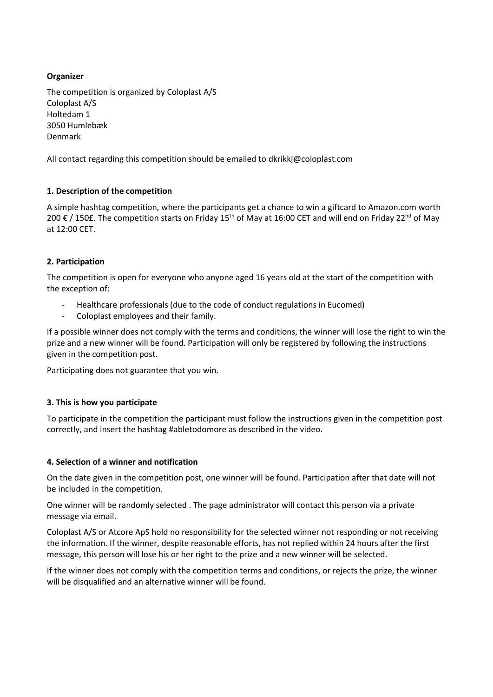## **Organizer**

The competition is organized by Coloplast A/S Coloplast A/S Holtedam 1 3050 Humlebæk Denmark

All contact regarding this competition should be emailed to dkrikkj@coloplast.com

# **1. Description of the competition**

A simple hashtag competition, where the participants get a chance to win a giftcard to Amazon.com worth 200 € / 150£. The competition starts on Friday 15<sup>th</sup> of May at 16:00 CET and will end on Friday 22<sup>nd</sup> of May at 12:00 CET.

### **2. Participation**

The competition is open for everyone who anyone aged 16 years old at the start of the competition with the exception of:

- Healthcare professionals (due to the code of conduct regulations in Eucomed)
- Coloplast employees and their family.

If a possible winner does not comply with the terms and conditions, the winner will lose the right to win the prize and a new winner will be found. Participation will only be registered by following the instructions given in the competition post.

Participating does not guarantee that you win.

#### **3. This is how you participate**

To participate in the competition the participant must follow the instructions given in the competition post correctly, and insert the hashtag #abletodomore as described in the video.

#### **4. Selection of a winner and notification**

On the date given in the competition post, one winner will be found. Participation after that date will not be included in the competition.

One winner will be randomly selected . The page administrator will contact this person via a private message via email.

Coloplast A/S or Atcore ApS hold no responsibility for the selected winner not responding or not receiving the information. If the winner, despite reasonable efforts, has not replied within 24 hours after the first message, this person will lose his or her right to the prize and a new winner will be selected.

If the winner does not comply with the competition terms and conditions, or rejects the prize, the winner will be disqualified and an alternative winner will be found.